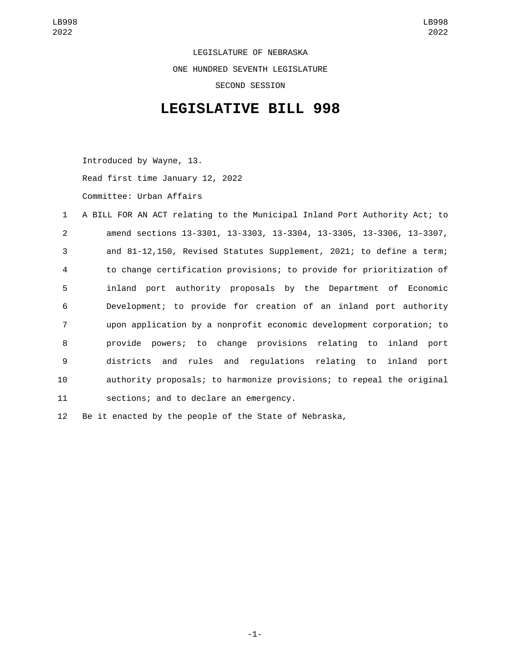LEGISLATURE OF NEBRASKA ONE HUNDRED SEVENTH LEGISLATURE SECOND SESSION

## **LEGISLATIVE BILL 998**

Introduced by Wayne, 13. Read first time January 12, 2022 Committee: Urban Affairs

 A BILL FOR AN ACT relating to the Municipal Inland Port Authority Act; to amend sections 13-3301, 13-3303, 13-3304, 13-3305, 13-3306, 13-3307, and 81-12,150, Revised Statutes Supplement, 2021; to define a term; to change certification provisions; to provide for prioritization of inland port authority proposals by the Department of Economic Development; to provide for creation of an inland port authority upon application by a nonprofit economic development corporation; to provide powers; to change provisions relating to inland port districts and rules and regulations relating to inland port authority proposals; to harmonize provisions; to repeal the original 11 sections; and to declare an emergency.

12 Be it enacted by the people of the State of Nebraska,

-1-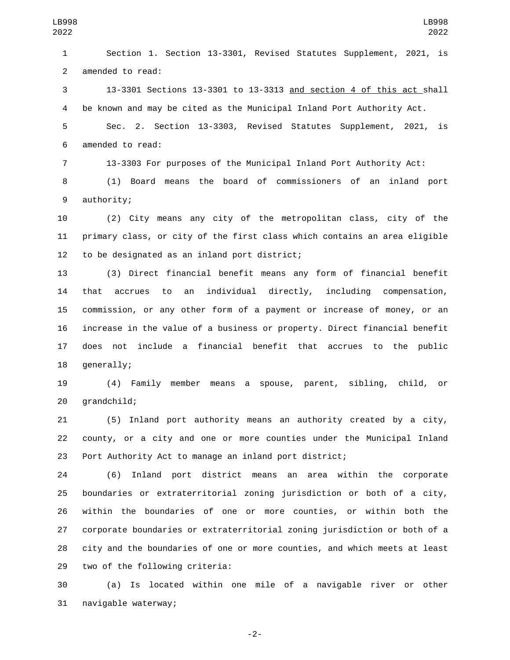Section 1. Section 13-3301, Revised Statutes Supplement, 2021, is 2 amended to read:

 13-3301 Sections 13-3301 to 13-3313 and section 4 of this act shall be known and may be cited as the Municipal Inland Port Authority Act.

 Sec. 2. Section 13-3303, Revised Statutes Supplement, 2021, is 6 amended to read:

13-3303 For purposes of the Municipal Inland Port Authority Act:

 (1) Board means the board of commissioners of an inland port 9 authority;

 (2) City means any city of the metropolitan class, city of the primary class, or city of the first class which contains an area eligible 12 to be designated as an inland port district;

 (3) Direct financial benefit means any form of financial benefit that accrues to an individual directly, including compensation, commission, or any other form of a payment or increase of money, or an increase in the value of a business or property. Direct financial benefit does not include a financial benefit that accrues to the public 18 generally;

 (4) Family member means a spouse, parent, sibling, child, or 20 grandchild;

 (5) Inland port authority means an authority created by a city, county, or a city and one or more counties under the Municipal Inland Port Authority Act to manage an inland port district;

 (6) Inland port district means an area within the corporate boundaries or extraterritorial zoning jurisdiction or both of a city, within the boundaries of one or more counties, or within both the corporate boundaries or extraterritorial zoning jurisdiction or both of a city and the boundaries of one or more counties, and which meets at least 29 two of the following criteria:

 (a) Is located within one mile of a navigable river or other 31 navigable waterway;

-2-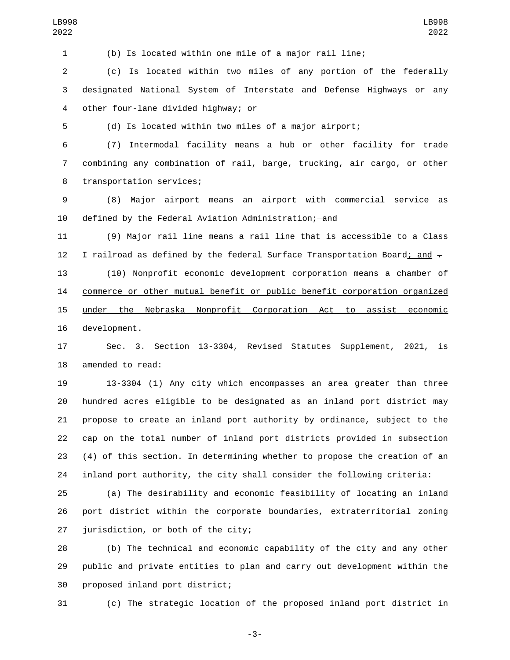(b) Is located within one mile of a major rail line;

 (c) Is located within two miles of any portion of the federally designated National System of Interstate and Defense Highways or any other four-lane divided highway; or4

(d) Is located within two miles of a major airport;

 (7) Intermodal facility means a hub or other facility for trade combining any combination of rail, barge, trucking, air cargo, or other 8 transportation services;

 (8) Major airport means an airport with commercial service as 10 defined by the Federal Aviation Administration; and

 (9) Major rail line means a rail line that is accessible to a Class 12 I railroad as defined by the federal Surface Transportation Board; and -

 (10) Nonprofit economic development corporation means a chamber of commerce or other mutual benefit or public benefit corporation organized under the Nebraska Nonprofit Corporation Act to assist economic 16 development.

 Sec. 3. Section 13-3304, Revised Statutes Supplement, 2021, is 18 amended to read:

 13-3304 (1) Any city which encompasses an area greater than three hundred acres eligible to be designated as an inland port district may propose to create an inland port authority by ordinance, subject to the cap on the total number of inland port districts provided in subsection (4) of this section. In determining whether to propose the creation of an inland port authority, the city shall consider the following criteria:

 (a) The desirability and economic feasibility of locating an inland port district within the corporate boundaries, extraterritorial zoning jurisdiction, or both of the city;

 (b) The technical and economic capability of the city and any other public and private entities to plan and carry out development within the 30 proposed inland port district;

(c) The strategic location of the proposed inland port district in

-3-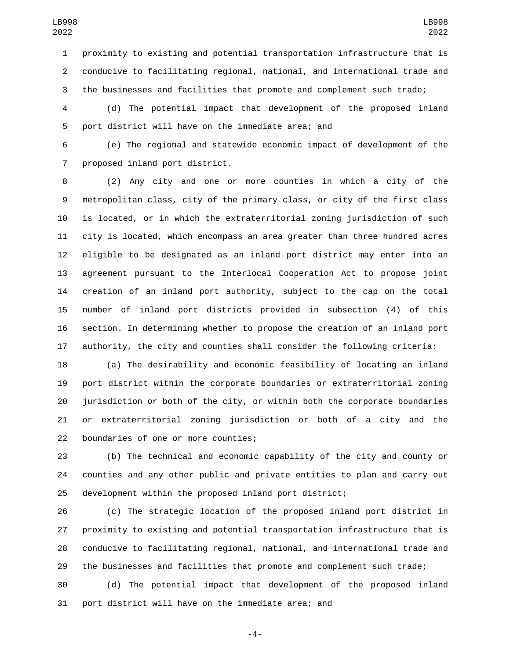proximity to existing and potential transportation infrastructure that is conducive to facilitating regional, national, and international trade and the businesses and facilities that promote and complement such trade;

 (d) The potential impact that development of the proposed inland 5 port district will have on the immediate area; and

 (e) The regional and statewide economic impact of development of the 7 proposed inland port district.

 (2) Any city and one or more counties in which a city of the metropolitan class, city of the primary class, or city of the first class is located, or in which the extraterritorial zoning jurisdiction of such city is located, which encompass an area greater than three hundred acres eligible to be designated as an inland port district may enter into an agreement pursuant to the Interlocal Cooperation Act to propose joint creation of an inland port authority, subject to the cap on the total number of inland port districts provided in subsection (4) of this section. In determining whether to propose the creation of an inland port authority, the city and counties shall consider the following criteria:

 (a) The desirability and economic feasibility of locating an inland port district within the corporate boundaries or extraterritorial zoning jurisdiction or both of the city, or within both the corporate boundaries or extraterritorial zoning jurisdiction or both of a city and the 22 boundaries of one or more counties;

 (b) The technical and economic capability of the city and county or counties and any other public and private entities to plan and carry out development within the proposed inland port district;

 (c) The strategic location of the proposed inland port district in proximity to existing and potential transportation infrastructure that is conducive to facilitating regional, national, and international trade and the businesses and facilities that promote and complement such trade;

 (d) The potential impact that development of the proposed inland port district will have on the immediate area; and

-4-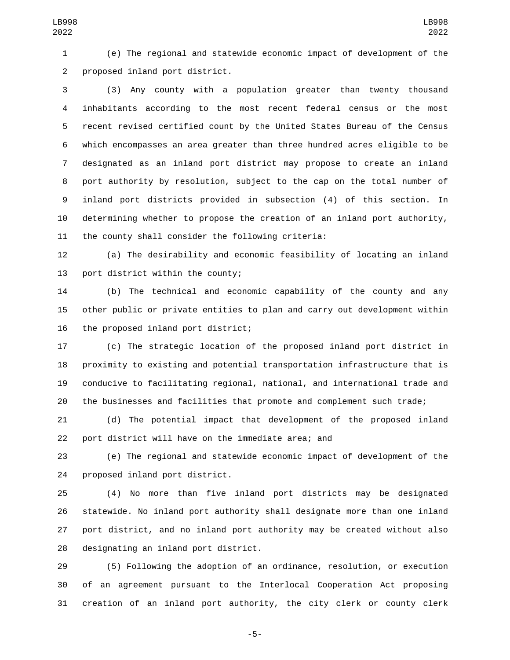(e) The regional and statewide economic impact of development of the 2 proposed inland port district.

 (3) Any county with a population greater than twenty thousand inhabitants according to the most recent federal census or the most recent revised certified count by the United States Bureau of the Census which encompasses an area greater than three hundred acres eligible to be designated as an inland port district may propose to create an inland port authority by resolution, subject to the cap on the total number of inland port districts provided in subsection (4) of this section. In determining whether to propose the creation of an inland port authority, 11 the county shall consider the following criteria:

 (a) The desirability and economic feasibility of locating an inland 13 port district within the county;

 (b) The technical and economic capability of the county and any other public or private entities to plan and carry out development within 16 the proposed inland port district;

 (c) The strategic location of the proposed inland port district in proximity to existing and potential transportation infrastructure that is conducive to facilitating regional, national, and international trade and the businesses and facilities that promote and complement such trade;

 (d) The potential impact that development of the proposed inland port district will have on the immediate area; and

 (e) The regional and statewide economic impact of development of the 24 proposed inland port district.

 (4) No more than five inland port districts may be designated statewide. No inland port authority shall designate more than one inland port district, and no inland port authority may be created without also 28 designating an inland port district.

 (5) Following the adoption of an ordinance, resolution, or execution of an agreement pursuant to the Interlocal Cooperation Act proposing creation of an inland port authority, the city clerk or county clerk

-5-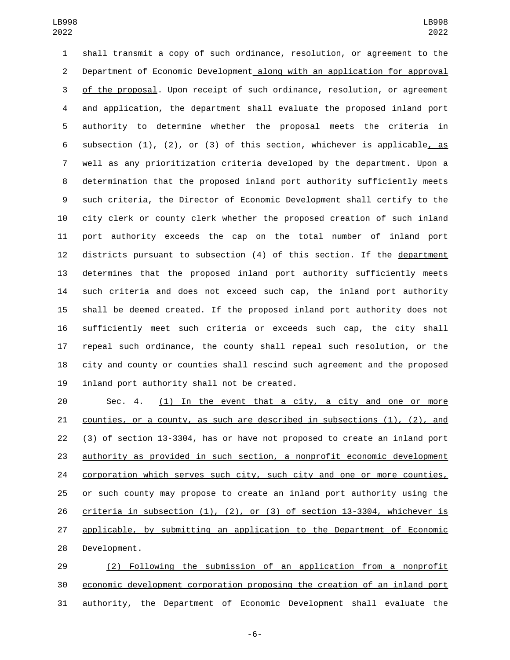shall transmit a copy of such ordinance, resolution, or agreement to the Department of Economic Development along with an application for approval of the proposal. Upon receipt of such ordinance, resolution, or agreement and application, the department shall evaluate the proposed inland port authority to determine whether the proposal meets the criteria in subsection (1), (2), or (3) of this section, whichever is applicable, as well as any prioritization criteria developed by the department. Upon a determination that the proposed inland port authority sufficiently meets such criteria, the Director of Economic Development shall certify to the city clerk or county clerk whether the proposed creation of such inland port authority exceeds the cap on the total number of inland port districts pursuant to subsection (4) of this section. If the department determines that the proposed inland port authority sufficiently meets such criteria and does not exceed such cap, the inland port authority shall be deemed created. If the proposed inland port authority does not sufficiently meet such criteria or exceeds such cap, the city shall repeal such ordinance, the county shall repeal such resolution, or the city and county or counties shall rescind such agreement and the proposed 19 inland port authority shall not be created.

 Sec. 4. (1) In the event that a city, a city and one or more counties, or a county, as such are described in subsections (1), (2), and (3) of section 13-3304, has or have not proposed to create an inland port authority as provided in such section, a nonprofit economic development 24 corporation which serves such city, such city and one or more counties, or such county may propose to create an inland port authority using the criteria in subsection (1), (2), or (3) of section 13-3304, whichever is applicable, by submitting an application to the Department of Economic 28 Development.

 (2) Following the submission of an application from a nonprofit economic development corporation proposing the creation of an inland port authority, the Department of Economic Development shall evaluate the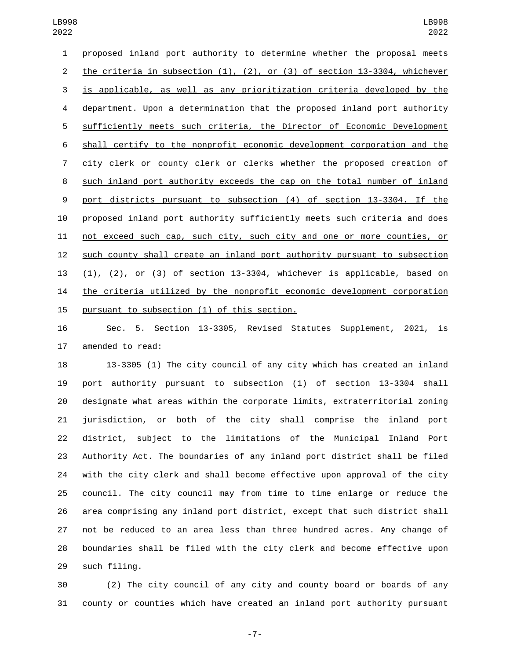proposed inland port authority to determine whether the proposal meets the criteria in subsection (1), (2), or (3) of section 13-3304, whichever is applicable, as well as any prioritization criteria developed by the department. Upon a determination that the proposed inland port authority sufficiently meets such criteria, the Director of Economic Development shall certify to the nonprofit economic development corporation and the city clerk or county clerk or clerks whether the proposed creation of such inland port authority exceeds the cap on the total number of inland port districts pursuant to subsection (4) of section 13-3304. If the proposed inland port authority sufficiently meets such criteria and does not exceed such cap, such city, such city and one or more counties, or such county shall create an inland port authority pursuant to subsection (1), (2), or (3) of section 13-3304, whichever is applicable, based on the criteria utilized by the nonprofit economic development corporation 15 pursuant to subsection (1) of this section.

 Sec. 5. Section 13-3305, Revised Statutes Supplement, 2021, is 17 amended to read:

 13-3305 (1) The city council of any city which has created an inland port authority pursuant to subsection (1) of section 13-3304 shall designate what areas within the corporate limits, extraterritorial zoning jurisdiction, or both of the city shall comprise the inland port district, subject to the limitations of the Municipal Inland Port Authority Act. The boundaries of any inland port district shall be filed with the city clerk and shall become effective upon approval of the city council. The city council may from time to time enlarge or reduce the area comprising any inland port district, except that such district shall not be reduced to an area less than three hundred acres. Any change of boundaries shall be filed with the city clerk and become effective upon 29 such filing.

 (2) The city council of any city and county board or boards of any county or counties which have created an inland port authority pursuant

-7-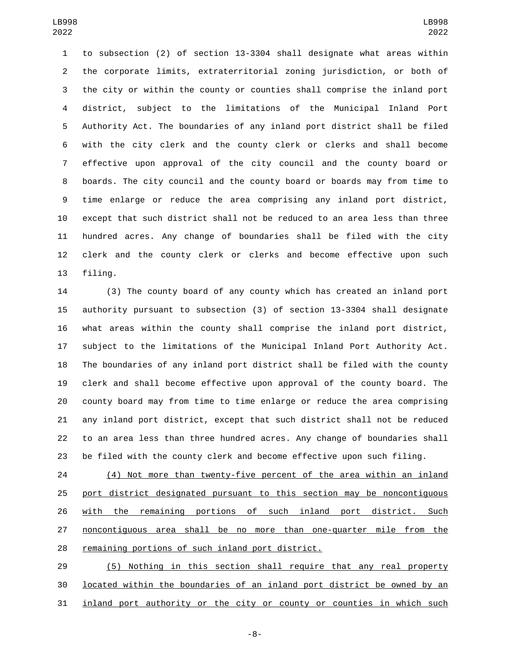to subsection (2) of section 13-3304 shall designate what areas within the corporate limits, extraterritorial zoning jurisdiction, or both of the city or within the county or counties shall comprise the inland port district, subject to the limitations of the Municipal Inland Port Authority Act. The boundaries of any inland port district shall be filed with the city clerk and the county clerk or clerks and shall become effective upon approval of the city council and the county board or boards. The city council and the county board or boards may from time to time enlarge or reduce the area comprising any inland port district, except that such district shall not be reduced to an area less than three hundred acres. Any change of boundaries shall be filed with the city clerk and the county clerk or clerks and become effective upon such 13 filing.

 (3) The county board of any county which has created an inland port authority pursuant to subsection (3) of section 13-3304 shall designate what areas within the county shall comprise the inland port district, subject to the limitations of the Municipal Inland Port Authority Act. The boundaries of any inland port district shall be filed with the county clerk and shall become effective upon approval of the county board. The county board may from time to time enlarge or reduce the area comprising any inland port district, except that such district shall not be reduced to an area less than three hundred acres. Any change of boundaries shall be filed with the county clerk and become effective upon such filing.

 (4) Not more than twenty-five percent of the area within an inland port district designated pursuant to this section may be noncontiguous with the remaining portions of such inland port district. Such noncontiguous area shall be no more than one-quarter mile from the 28 remaining portions of such inland port district.

 (5) Nothing in this section shall require that any real property located within the boundaries of an inland port district be owned by an inland port authority or the city or county or counties in which such

-8-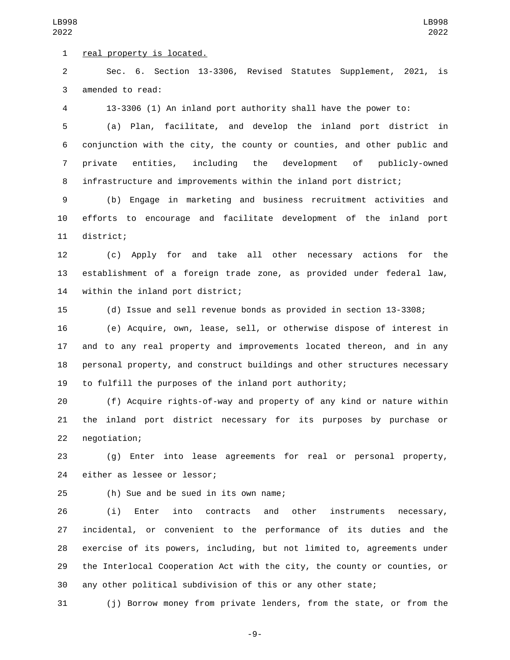1 real property is located.

 Sec. 6. Section 13-3306, Revised Statutes Supplement, 2021, is 3 amended to read:

13-3306 (1) An inland port authority shall have the power to:

 (a) Plan, facilitate, and develop the inland port district in conjunction with the city, the county or counties, and other public and private entities, including the development of publicly-owned infrastructure and improvements within the inland port district;

 (b) Engage in marketing and business recruitment activities and efforts to encourage and facilitate development of the inland port 11 district;

 (c) Apply for and take all other necessary actions for the establishment of a foreign trade zone, as provided under federal law, 14 within the inland port district;

(d) Issue and sell revenue bonds as provided in section 13-3308;

 (e) Acquire, own, lease, sell, or otherwise dispose of interest in and to any real property and improvements located thereon, and in any personal property, and construct buildings and other structures necessary to fulfill the purposes of the inland port authority;

 (f) Acquire rights-of-way and property of any kind or nature within the inland port district necessary for its purposes by purchase or 22 negotiation;

 (g) Enter into lease agreements for real or personal property, 24 either as lessee or lessor;

(h) Sue and be sued in its own name;25

 (i) Enter into contracts and other instruments necessary, incidental, or convenient to the performance of its duties and the exercise of its powers, including, but not limited to, agreements under the Interlocal Cooperation Act with the city, the county or counties, or any other political subdivision of this or any other state;

(j) Borrow money from private lenders, from the state, or from the

-9-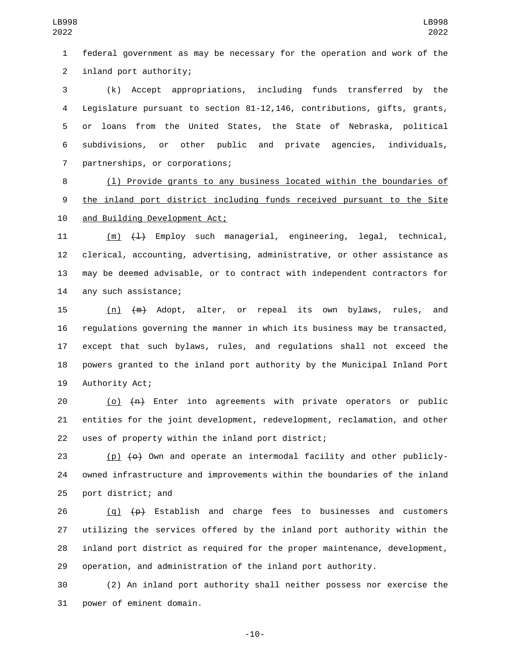1 federal government as may be necessary for the operation and work of the 2 inland port authority;

 (k) Accept appropriations, including funds transferred by the Legislature pursuant to section 81-12,146, contributions, gifts, grants, or loans from the United States, the State of Nebraska, political subdivisions, or other public and private agencies, individuals, 7 partnerships, or corporations;

8 (l) Provide grants to any business located within the boundaries of 9 the inland port district including funds received pursuant to the Site 10 and Building Development Act;

11 (m)  $(1)$  Employ such managerial, engineering, legal, technical, 12 clerical, accounting, advertising, administrative, or other assistance as 13 may be deemed advisable, or to contract with independent contractors for 14 any such assistance;

 (n) (m) Adopt, alter, or repeal its own bylaws, rules, and regulations governing the manner in which its business may be transacted, except that such bylaws, rules, and regulations shall not exceed the powers granted to the inland port authority by the Municipal Inland Port 19 Authority Act;

20  $(0)$   $\left\{\uparrow\right\}$  Enter into agreements with private operators or public 21 entities for the joint development, redevelopment, reclamation, and other 22 uses of property within the inland port district;

23 (p)  $\left(\theta\right)$  Own and operate an intermodal facility and other publicly-24 owned infrastructure and improvements within the boundaries of the inland 25 port district; and

 $(q)$   $(p)$  Establish and charge fees to businesses and customers utilizing the services offered by the inland port authority within the inland port district as required for the proper maintenance, development, operation, and administration of the inland port authority.

30 (2) An inland port authority shall neither possess nor exercise the 31 power of eminent domain.

-10-